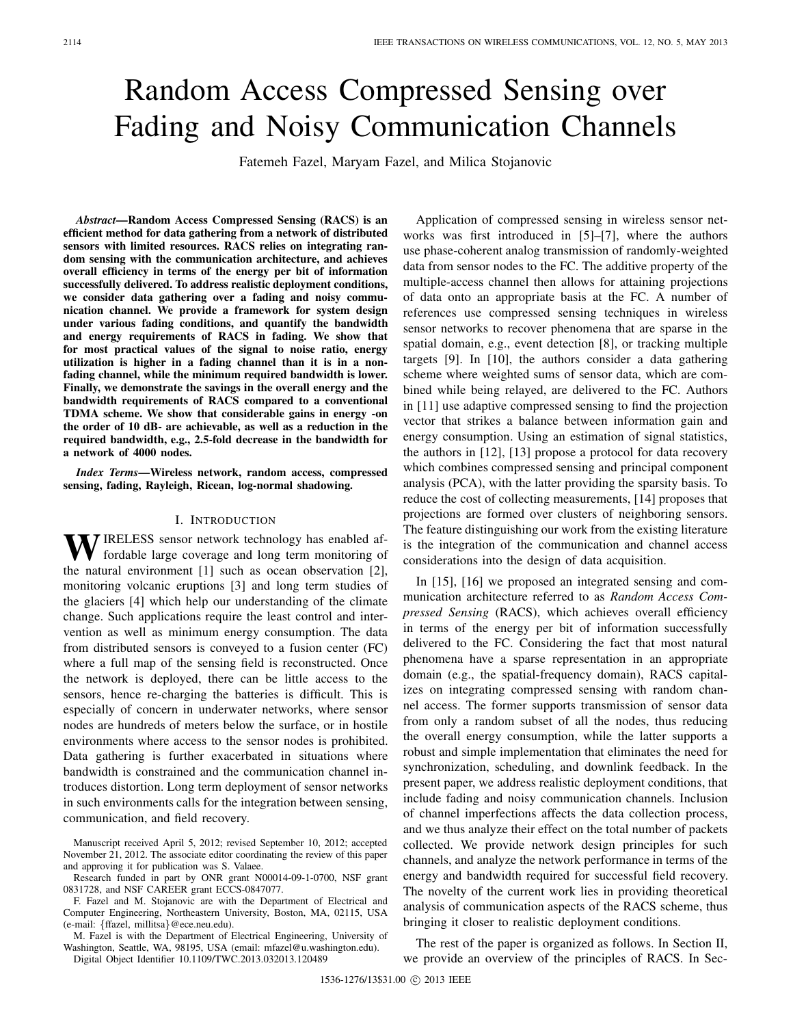# Random Access Compressed Sensing over Fading and Noisy Communication Channels

Fatemeh Fazel, Maryam Fazel, and Milica Stojanovic

*Abstract***—Random Access Compressed Sensing (RACS) is an efficient method for data gathering from a network of distributed sensors with limited resources. RACS relies on integrating random sensing with the communication architecture, and achieves overall efficiency in terms of the energy per bit of information successfully delivered. To address realistic deployment conditions, we consider data gathering over a fading and noisy communication channel. We provide a framework for system design under various fading conditions, and quantify the bandwidth and energy requirements of RACS in fading. We show that for most practical values of the signal to noise ratio, energy utilization is higher in a fading channel than it is in a nonfading channel, while the minimum required bandwidth is lower. Finally, we demonstrate the savings in the overall energy and the bandwidth requirements of RACS compared to a conventional TDMA scheme. We show that considerable gains in energy -on the order of 10 dB- are achievable, as well as a reduction in the required bandwidth, e.g., 2.5-fold decrease in the bandwidth for a network of 4000 nodes.**

*Index Terms***—Wireless network, random access, compressed sensing, fading, Rayleigh, Ricean, log-normal shadowing.**

## I. INTRODUCTION

**WIRELESS** sensor network technology has enabled affordable large coverage and long term monitoring of the natural environment [1] such as ocean observation [2], monitoring volcanic eruptions [3] and long term studies of the glaciers [4] which help our understanding of the climate change. Such applications require the least control and intervention as well as minimum energy consumption. The data from distributed sensors is conveyed to a fusion center (FC) where a full map of the sensing field is reconstructed. Once the network is deployed, there can be little access to the sensors, hence re-charging the batteries is difficult. This is especially of concern in underwater networks, where sensor nodes are hundreds of meters below the surface, or in hostile environments where access to the sensor nodes is prohibited. Data gathering is further exacerbated in situations where bandwidth is constrained and the communication channel introduces distortion. Long term deployment of sensor networks in such environments calls for the integration between sensing, communication, and field recovery.

F. Fazel and M. Stojanovic are with the Department of Electrical and Computer Engineering, Northeastern University, Boston, MA, 02115, USA (e-mail: {ffazel, millitsa}@ece.neu.edu).

M. Fazel is with the Department of Electrical Engineering, University of Washington, Seattle, WA, 98195, USA (email: mfazel@u.washington.edu).

Digital Object Identifier 10.1109/TWC.2013.032013.120489

Application of compressed sensing in wireless sensor networks was first introduced in [5]–[7], where the authors use phase-coherent analog transmission of randomly-weighted data from sensor nodes to the FC. The additive property of the multiple-access channel then allows for attaining projections of data onto an appropriate basis at the FC. A number of references use compressed sensing techniques in wireless sensor networks to recover phenomena that are sparse in the spatial domain, e.g., event detection [8], or tracking multiple targets [9]. In [10], the authors consider a data gathering scheme where weighted sums of sensor data, which are combined while being relayed, are delivered to the FC. Authors in [11] use adaptive compressed sensing to find the projection vector that strikes a balance between information gain and energy consumption. Using an estimation of signal statistics, the authors in [12], [13] propose a protocol for data recovery which combines compressed sensing and principal component analysis (PCA), with the latter providing the sparsity basis. To reduce the cost of collecting measurements, [14] proposes that projections are formed over clusters of neighboring sensors. The feature distinguishing our work from the existing literature is the integration of the communication and channel access considerations into the design of data acquisition.

In [15], [16] we proposed an integrated sensing and communication architecture referred to as *Random Access Compressed Sensing* (RACS), which achieves overall efficiency in terms of the energy per bit of information successfully delivered to the FC. Considering the fact that most natural phenomena have a sparse representation in an appropriate domain (e.g., the spatial-frequency domain), RACS capitalizes on integrating compressed sensing with random channel access. The former supports transmission of sensor data from only a random subset of all the nodes, thus reducing the overall energy consumption, while the latter supports a robust and simple implementation that eliminates the need for synchronization, scheduling, and downlink feedback. In the present paper, we address realistic deployment conditions, that include fading and noisy communication channels. Inclusion of channel imperfections affects the data collection process, and we thus analyze their effect on the total number of packets collected. We provide network design principles for such channels, and analyze the network performance in terms of the energy and bandwidth required for successful field recovery. The novelty of the current work lies in providing theoretical analysis of communication aspects of the RACS scheme, thus bringing it closer to realistic deployment conditions.

The rest of the paper is organized as follows. In Section II, we provide an overview of the principles of RACS. In Sec-

Manuscript received April 5, 2012; revised September 10, 2012; accepted November 21, 2012. The associate editor coordinating the review of this paper and approving it for publication was S. Valaee.

Research funded in part by ONR grant N00014-09-1-0700, NSF grant 0831728, and NSF CAREER grant ECCS-0847077.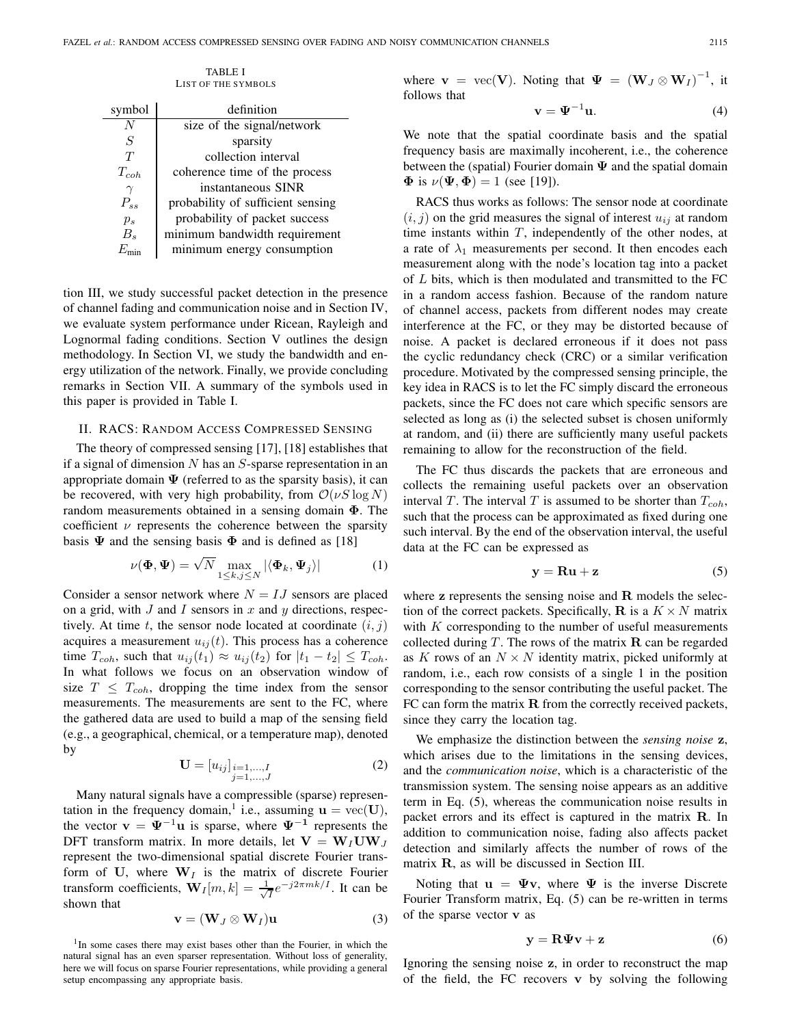| symbol    | definition                        |
|-----------|-----------------------------------|
|           | size of the signal/network        |
| S         | sparsity                          |
| T         | collection interval               |
| $T_{coh}$ | coherence time of the process     |
| $\gamma$  | instantaneous SINR                |
| $P_{ss}$  | probability of sufficient sensing |
| $p_s$     | probability of packet success     |
| $B_s$     | minimum bandwidth requirement     |
|           | minimum energy consumption        |

TABLE I LIST OF THE SYMBOLS

tion III, we study successful packet detection in the presence of channel fading and communication noise and in Section IV, we evaluate system performance under Ricean, Rayleigh and Lognormal fading conditions. Section V outlines the design methodology. In Section VI, we study the bandwidth and energy utilization of the network. Finally, we provide concluding remarks in Section VII. A summary of the symbols used in this paper is provided in Table I.

#### II. RACS: RANDOM ACCESS COMPRESSED SENSING

The theory of compressed sensing [17], [18] establishes that if a signal of dimension  $N$  has an  $S$ -sparse representation in an appropriate domain  $\Psi$  (referred to as the sparsity basis), it can be recovered, with very high probability, from  $\mathcal{O}(\nu S \log N)$ random measurements obtained in a sensing domain **Φ**. The coefficient  $\nu$  represents the coherence between the sparsity basis  $\Psi$  and the sensing basis  $\Phi$  and is defined as [18]

$$
\nu(\mathbf{\Phi}, \mathbf{\Psi}) = \sqrt{N} \max_{1 \leq k, j \leq N} |\langle \mathbf{\Phi}_k, \mathbf{\Psi}_j \rangle| \tag{1}
$$

Consider a sensor network where  $N = IJ$  sensors are placed on a grid, with  $J$  and  $I$  sensors in  $x$  and  $y$  directions, respectively. At time t, the sensor node located at coordinate  $(i, j)$ acquires a measurement  $u_{ij}(t)$ . This process has a coherence time  $T_{coh}$ , such that  $u_{ij}(t_1) \approx u_{ij}(t_2)$  for  $|t_1 - t_2| \leq T_{coh}$ . In what follows we focus on an observation window of size  $T \leq T_{coh}$ , dropping the time index from the sensor measurements. The measurements are sent to the FC, where the gathered data are used to build a map of the sensing field (e.g., a geographical, chemical, or a temperature map), denoted by

$$
\mathbf{U} = [u_{ij}]_{\substack{i=1,\dots,I\\j=1,\dots,J}}\tag{2}
$$

Many natural signals have a compressible (sparse) representation in the frequency domain,<sup>1</sup> i.e., assuming  $\mathbf{u} = \text{vec}(\mathbf{U})$ , the vector  $\mathbf{v} = \Psi^{-1}\mathbf{u}$  is sparse, where  $\Psi^{-1}$  represents the DFT transform matrix. In more details, let  $V = W_I U W_J$ represent the two-dimensional spatial discrete Fourier transform of U, where  $W_I$  is the matrix of discrete Fourier transform coefficients,  $\mathbf{W}_I[m,k] = \frac{1}{\sqrt{I}} e^{-j2\pi mk/I}$ . It can be shown that

$$
\mathbf{v} = (\mathbf{W}_J \otimes \mathbf{W}_I)\mathbf{u} \tag{3}
$$

<sup>1</sup>In some cases there may exist bases other than the Fourier, in which the natural signal has an even sparser representation. Without loss of generality, here we will focus on sparse Fourier representations, while providing a general setup encompassing any appropriate basis.

where **v** = vec(**V**). Noting that  $\Psi = (\mathbf{W}_J \otimes \mathbf{W}_I)^{-1}$ , it follows that follows that

$$
\mathbf{v} = \mathbf{\Psi}^{-1} \mathbf{u}.\tag{4}
$$

We note that the spatial coordinate basis and the spatial frequency basis are maximally incoherent, i.e., the coherence between the (spatial) Fourier domain  $\Psi$  and the spatial domain  $\Phi$  is  $\nu(\Psi, \Phi) = 1$  (see [19]).

RACS thus works as follows: The sensor node at coordinate  $(i, j)$  on the grid measures the signal of interest  $u_{ij}$  at random time instants within  $T$ , independently of the other nodes, at a rate of  $\lambda_1$  measurements per second. It then encodes each measurement along with the node's location tag into a packet of L bits, which is then modulated and transmitted to the FC in a random access fashion. Because of the random nature of channel access, packets from different nodes may create interference at the FC, or they may be distorted because of noise. A packet is declared erroneous if it does not pass the cyclic redundancy check (CRC) or a similar verification procedure. Motivated by the compressed sensing principle, the key idea in RACS is to let the FC simply discard the erroneous packets, since the FC does not care which specific sensors are selected as long as (i) the selected subset is chosen uniformly at random, and (ii) there are sufficiently many useful packets remaining to allow for the reconstruction of the field.

The FC thus discards the packets that are erroneous and collects the remaining useful packets over an observation interval T. The interval T is assumed to be shorter than  $T_{coh}$ , such that the process can be approximated as fixed during one such interval. By the end of the observation interval, the useful data at the FC can be expressed as

$$
y = Ru + z \tag{5}
$$

where **z** represents the sensing noise and **R** models the selection of the correct packets. Specifically, **R** is a  $K \times N$  matrix with  $K$  corresponding to the number of useful measurements collected during  $T$ . The rows of the matrix  $\bf{R}$  can be regarded as K rows of an  $N \times N$  identity matrix, picked uniformly at random, i.e., each row consists of a single 1 in the position corresponding to the sensor contributing the useful packet. The FC can form the matrix **R** from the correctly received packets, since they carry the location tag.

We emphasize the distinction between the *sensing noise* **z**, which arises due to the limitations in the sensing devices, and the *communication noise*, which is a characteristic of the transmission system. The sensing noise appears as an additive term in Eq. (5), whereas the communication noise results in packet errors and its effect is captured in the matrix **R**. In addition to communication noise, fading also affects packet detection and similarly affects the number of rows of the matrix **R**, as will be discussed in Section III.

Noting that  $\mathbf{u} = \Psi \mathbf{v}$ , where  $\Psi$  is the inverse Discrete Fourier Transform matrix, Eq. (5) can be re-written in terms of the sparse vector **v** as

$$
y = R\Psi v + z \tag{6}
$$

Ignoring the sensing noise **z**, in order to reconstruct the map of the field, the FC recovers **v** by solving the following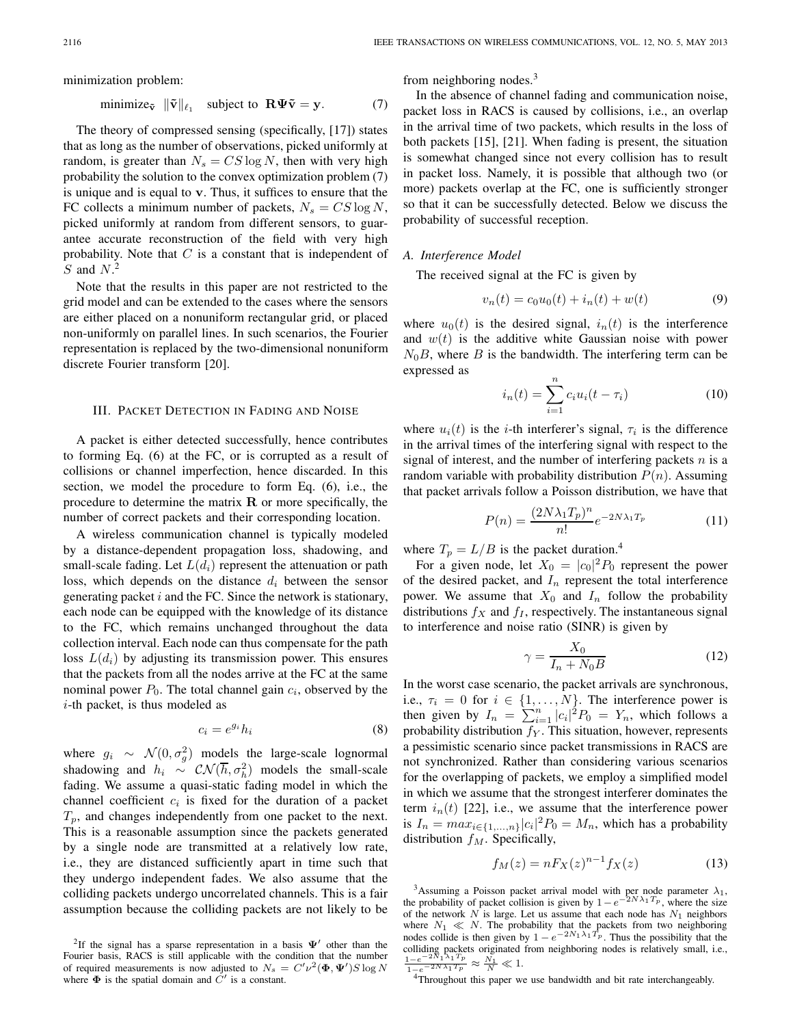minimization problem:

$$
\text{minimize}_{\tilde{\mathbf{v}}} \ \|\tilde{\mathbf{v}}\|_{\ell_1} \quad \text{subject to} \ \mathbf{R}\Psi\tilde{\mathbf{v}} = \mathbf{y}.\tag{7}
$$

The theory of compressed sensing (specifically, [17]) states that as long as the number of observations, picked uniformly at random, is greater than  $N_s = CS \log N$ , then with very high probability the solution to the convex optimization problem (7) is unique and is equal to **v**. Thus, it suffices to ensure that the FC collects a minimum number of packets,  $N_s = CS \log N$ , picked uniformly at random from different sensors, to guarantee accurate reconstruction of the field with very high probability. Note that  $C$  is a constant that is independent of S and  $N$ <sup>2</sup>

Note that the results in this paper are not restricted to the grid model and can be extended to the cases where the sensors are either placed on a nonuniform rectangular grid, or placed non-uniformly on parallel lines. In such scenarios, the Fourier representation is replaced by the two-dimensional nonuniform discrete Fourier transform [20].

#### III. PACKET DETECTION IN FADING AND NOISE

A packet is either detected successfully, hence contributes to forming Eq. (6) at the FC, or is corrupted as a result of collisions or channel imperfection, hence discarded. In this section, we model the procedure to form Eq. (6), i.e., the procedure to determine the matrix  $\bf{R}$  or more specifically, the number of correct packets and their corresponding location.

A wireless communication channel is typically modeled by a distance-dependent propagation loss, shadowing, and small-scale fading. Let  $L(d_i)$  represent the attenuation or path loss, which depends on the distance  $d_i$  between the sensor generating packet  $i$  and the FC. Since the network is stationary, each node can be equipped with the knowledge of its distance to the FC, which remains unchanged throughout the data collection interval. Each node can thus compensate for the path loss  $L(d_i)$  by adjusting its transmission power. This ensures that the packets from all the nodes arrive at the FC at the same nominal power  $P_0$ . The total channel gain  $c_i$ , observed by the i-th packet, is thus modeled as

$$
c_i = e^{g_i} h_i \tag{8}
$$

where  $g_i \sim \mathcal{N}(0, \sigma_g^2)$  models the large-scale lognormal<br>shadowing and  $h_{i,j} \sim \mathcal{CN}(\overline{h}, \sigma_s^2)$  models the small scale shadowing and  $h_i \sim \mathcal{CN}(h, \sigma_h^2)$  models the small-scale fading We assume a quasi-static fading model in which the fading. We assume a quasi-static fading model in which the channel coefficient  $c_i$  is fixed for the duration of a packet  $T_p$ , and changes independently from one packet to the next. This is a reasonable assumption since the packets generated by a single node are transmitted at a relatively low rate, i.e., they are distanced sufficiently apart in time such that they undergo independent fades. We also assume that the colliding packets undergo uncorrelated channels. This is a fair assumption because the colliding packets are not likely to be from neighboring nodes.<sup>3</sup>

In the absence of channel fading and communication noise, packet loss in RACS is caused by collisions, i.e., an overlap in the arrival time of two packets, which results in the loss of both packets [15], [21]. When fading is present, the situation is somewhat changed since not every collision has to result in packet loss. Namely, it is possible that although two (or more) packets overlap at the FC, one is sufficiently stronger so that it can be successfully detected. Below we discuss the probability of successful reception.

#### *A. Interference Model*

The received signal at the FC is given by

$$
v_n(t) = c_0 u_0(t) + i_n(t) + w(t)
$$
\n(9)

where  $u_0(t)$  is the desired signal,  $i_n(t)$  is the interference and  $w(t)$  is the additive white Gaussian noise with power  $N_0$ B, where B is the bandwidth. The interfering term can be expressed as

$$
i_n(t) = \sum_{i=1}^n c_i u_i(t - \tau_i)
$$
 (10)

where  $u_i(t)$  is the *i*-th interferer's signal,  $\tau_i$  is the difference in the arrival times of the interfering signal with respect to the signal of interest, and the number of interfering packets  $n$  is a random variable with probability distribution  $P(n)$ . Assuming that packet arrivals follow a Poisson distribution, we have that

$$
P(n) = \frac{(2N\lambda_1 T_p)^n}{n!} e^{-2N\lambda_1 T_p}
$$
\n(11)

where  $T_p = L/B$  is the packet duration.<sup>4</sup>

For a given node, let  $X_0 = |c_0|^2 P_0$  represent the power<br>the desired packet, and I represent the total interference of the desired packet, and  $I_n$  represent the total interference power. We assume that  $X_0$  and  $I_n$  follow the probability distributions  $f_X$  and  $f_I$ , respectively. The instantaneous signal to interference and noise ratio (SINR) is given by

$$
\gamma = \frac{X_0}{I_n + N_0 B}
$$
 (12)  
In the worst case scenario, the packet arrivals are synchronous,

i.e.,  $\tau_i = 0$  for  $i \in \{1, ..., N\}$ . The interference power is<br>then given by  $I = \sum_{i=1}^{n} |c_i|^2 P_i = V$  which follows a then given by  $I_n = \sum_{i=1}^n |c_i|^2 P_0 = Y_n$ , which follows a probability distribution  $f_{1i}$ . This situation however represents probability distribution  $f_Y$ . This situation, however, represents a pessimistic scenario since packet transmissions in RACS are not synchronized. Rather than considering various scenarios for the overlapping of packets, we employ a simplified model in which we assume that the strongest interferer dominates the term  $i_n(t)$  [22], i.e., we assume that the interference power is  $I_n = max_{i \in \{1, ..., n\}} |c_i|^2 P_0 = M_n$ , which has a probability<br>distribution  $f_{i,j}$  Specifically distribution  $f_M$ . Specifically,

$$
f_M(z) = nF_X(z)^{n-1} f_X(z)
$$
 (13)

4Throughout this paper we use bandwidth and bit rate interchangeably.

<sup>&</sup>lt;sup>2</sup>If the signal has a sparse representation in a basis  $\Psi'$  other than the Fourier basis, RACS is still applicable with the condition that the number of required measurements is now adjusted to  $N_s = C'\nu^2(\Phi, \Psi')S \log N$ <br>where  $\Phi$  is the spatial domain and C' is a constant where  $\Phi$  is the spatial domain and  $C'$  is a constant.

<sup>&</sup>lt;sup>3</sup>Assuming a Poisson packet arrival model with per node parameter  $\lambda_1$ , the probability of packet collision is given by  $1-e^{-2N\lambda_1T_p}$ , where the size of the network N is large. Let us assume that each node has N<sub>1</sub> neighbors of the network  $N$  is large. Let us assume that each node has  $N_1$  neighbors where  $N_1 \ll N$ . The probability that the packets from two neighboring nodes collide is then given by  $1 - e^{-2N_1 \lambda_1 T_p}$ . Thus the possibility that the colliding packets originated from neighboring nodes is relatively small colliding packets originated from neighboring nodes is relatively small, i.e.,<br>  $\frac{1-e^{-2N_1\lambda_1 T_p}}{1-e^{-2N\lambda_1 T_p}} \approx \frac{N_1}{N} \ll 1.$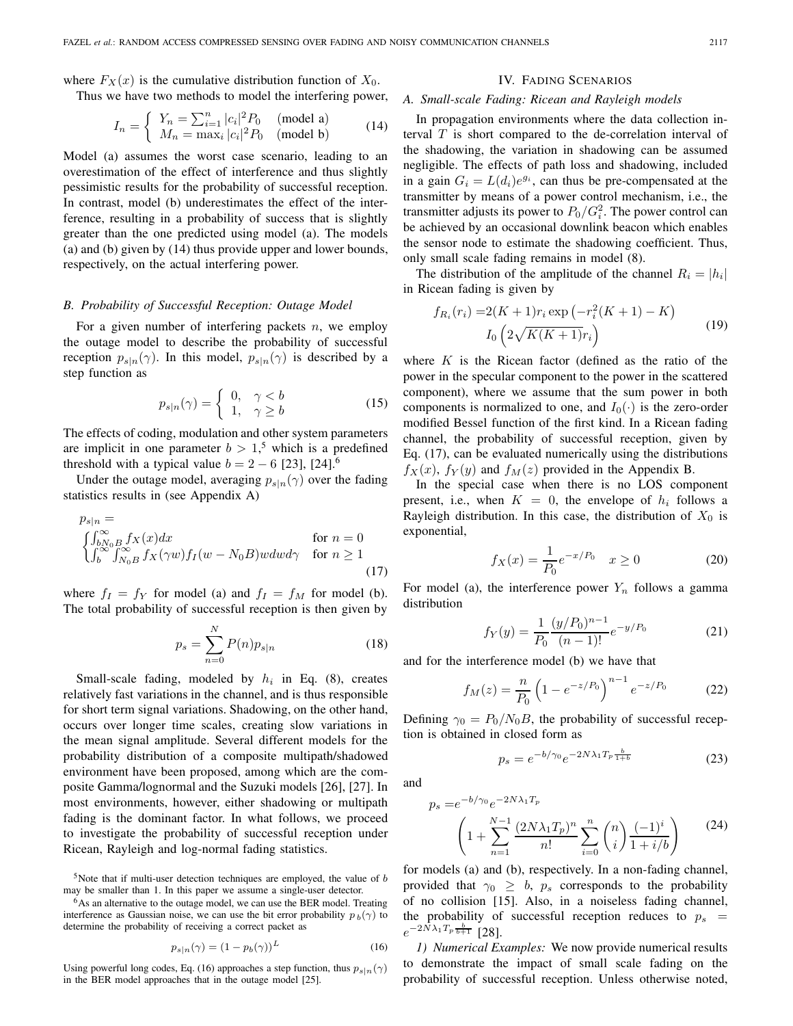where  $F_X(x)$  is the cumulative distribution function of  $X_0$ .

Thus we have two methods to model the interfering power,

$$
I_n = \begin{cases} Y_n = \sum_{i=1}^n |c_i|^2 P_0 & \text{(model a)}\\ M_n = \max_i |c_i|^2 P_0 & \text{(model b)} \end{cases}
$$
(14)

Model (a) assumes the worst case scenario, leading to an overestimation of the effect of interference and thus slightly pessimistic results for the probability of successful reception. In contrast, model (b) underestimates the effect of the interference, resulting in a probability of success that is slightly greater than the one predicted using model (a). The models (a) and (b) given by (14) thus provide upper and lower bounds, respectively, on the actual interfering power.

## *B. Probability of Successful Reception: Outage Model*

For a given number of interfering packets  $n$ , we employ the outage model to describe the probability of successful reception  $p_{s|n}(\gamma)$ . In this model,  $p_{s|n}(\gamma)$  is described by a step function as

$$
p_{s|n}(\gamma) = \begin{cases} 0, & \gamma < b \\ 1, & \gamma \ge b \end{cases} \tag{15}
$$

The effects of coding, modulation and other system parameters are implicit in one parameter  $b > 1$ ,<sup>5</sup> which is a predefined<br>threshold with a typical value  $b = 2 - 6.1231 \cdot 12416$ threshold with a typical value  $b = 2 - 6$  [23], [24].<sup>6</sup>

Under the outage model, averaging  $p_{\text{sln}}(\gamma)$  over the fading statistics results in (see Appendix A)

$$
p_{s|n} = \n\begin{cases} \n\int_{bN_0}^{\infty} f_X(x)dx & \text{for } n = 0\\ \n\int_{b}^{\infty} \int_{N_0}^{\infty} f_X(\gamma w) f_I(w - N_0 B) w dw d\gamma & \text{for } n \ge 1\\ \n\end{cases}
$$
\n(17)

where  $f_I = f_Y$  for model (a) and  $f_I = f_M$  for model (b). The total probability of successful reception is then given by

$$
p_s = \sum_{n=0}^{N} P(n) p_{s|n}
$$
 (18)

Small-scale fading, modeled by  $h_i$  in Eq. (8), creates relatively fast variations in the channel, and is thus responsible for short term signal variations. Shadowing, on the other hand, occurs over longer time scales, creating slow variations in the mean signal amplitude. Several different models for the probability distribution of a composite multipath/shadowed environment have been proposed, among which are the composite Gamma/lognormal and the Suzuki models [26], [27]. In most environments, however, either shadowing or multipath fading is the dominant factor. In what follows, we proceed to investigate the probability of successful reception under Ricean, Rayleigh and log-normal fading statistics.

 $5$ Note that if multi-user detection techniques are employed, the value of  $b$ may be smaller than 1. In this paper we assume a single-user detector.

<sup>6</sup>As an alternative to the outage model, we can use the BER model. Treating interference as Gaussian noise, we can use the bit error probability  $p_b(\gamma)$  to determine the probability of receiving a correct packet as

$$
p_{s|n}(\gamma) = (1 - p_b(\gamma))^L \tag{16}
$$

Using powerful long codes, Eq. (16) approaches a step function, thus  $p_{s|n}(\gamma)$ in the BER model approaches that in the outage model [25].

#### IV. FADING SCENARIOS

# *A. Small-scale Fading: Ricean and Rayleigh models*

In propagation environments where the data collection interval  $T$  is short compared to the de-correlation interval of the shadowing, the variation in shadowing can be assumed negligible. The effects of path loss and shadowing, included in a gain  $G_i = L(d_i)e^{g_i}$ , can thus be pre-compensated at the transmitter by means of a power control mechanism, i.e., the transmitter adjusts its power to  $P_0/G_i^2$ . The power control can<br>be achieved by an accessional domaling because which analyze be achieved by an occasional downlink beacon which enables the sensor node to estimate the shadowing coefficient. Thus, only small scale fading remains in model (8).

The distribution of the amplitude of the channel  $R_i = |h_i|$ in Ricean fading is given by

$$
f_{R_i}(r_i) = 2(K+1)r_i \exp(-r_i^2(K+1) - K)
$$
  

$$
I_0\left(2\sqrt{K(K+1)}r_i\right)
$$
 (19)

where  $K$  is the Ricean factor (defined as the ratio of the power in the specular component to the power in the scattered component), where we assume that the sum power in both components is normalized to one, and  $I_0(\cdot)$  is the zero-order modified Bessel function of the first kind. In a Ricean fading channel, the probability of successful reception, given by Eq. (17), can be evaluated numerically using the distributions  $f_X(x)$ ,  $f_Y(y)$  and  $f_M(z)$  provided in the Appendix B.

In the special case when there is no LOS component present, i.e., when  $K = 0$ , the envelope of  $h_i$  follows a Rayleigh distribution. In this case, the distribution of  $X_0$  is exponential,

$$
f_X(x) = \frac{1}{P_0} e^{-x/P_0} \quad x \ge 0
$$
 (20)

For model (a), the interference power  $Y_n$  follows a gamma distribution

$$
f_Y(y) = \frac{1}{P_0} \frac{(y/P_0)^{n-1}}{(n-1)!} e^{-y/P_0}
$$
 (21)

and for the interference model (b) we have that

$$
f_M(z) = \frac{n}{P_0} \left( 1 - e^{-z/P_0} \right)^{n-1} e^{-z/P_0} \tag{22}
$$

Defining  $\gamma_0 = P_0/N_0B$ , the probability of successful reception is obtained in closed form as

$$
p_s = e^{-b/\gamma_0} e^{-2N\lambda_1 T_p \frac{b}{1+b}}
$$
 (23)

and

$$
p_s = e^{-b/\gamma_0} e^{-2N\lambda_1 T_p}
$$
  

$$
\left(1 + \sum_{n=1}^{N-1} \frac{(2N\lambda_1 T_p)^n}{n!} \sum_{i=0}^n {n \choose i} \frac{(-1)^i}{1+i/b}\right)
$$
(24)

for models (a) and (b), respectively. In a non-fading channel, provided that  $\gamma_0 \geq b$ ,  $p_s$  corresponds to the probability of no collision [15]. Also, in a noiseless fading channel, the probability of successful reception reduces to  $p_s$  =  $e^{-2N\lambda_1 T_p \frac{b}{b+1}}$  [28].

*1) Numerical Examples:* We now provide numerical results to demonstrate the impact of small scale fading on the probability of successful reception. Unless otherwise noted,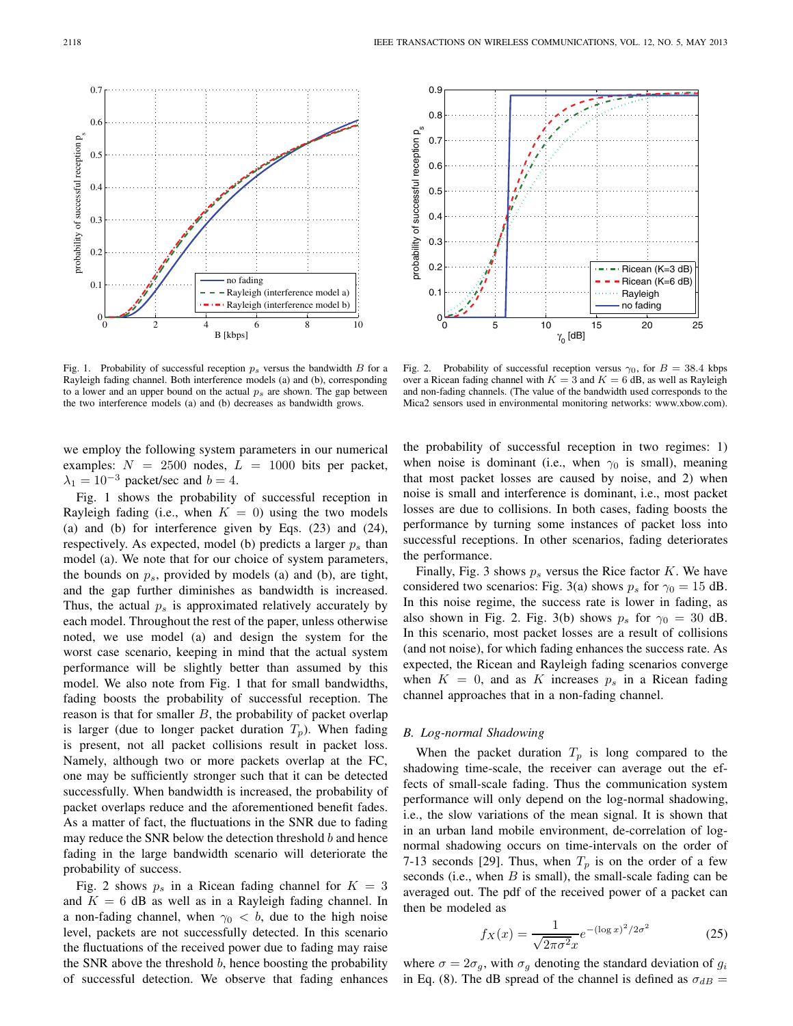Fig. 1. Probability of successful reception  $p_s$  versus the bandwidth  $B$  for a Rayleigh fading channel. Both interference models (a) and (b), corresponding to a lower and an upper bound on the actual  $p_s$  are shown. The gap between the two interference models (a) and (b) decreases as bandwidth grows.

we employ the following system parameters in our numerical examples:  $N = 2500$  nodes,  $L = 1000$  bits per packet,  $\lambda_1 = 10^{-3}$  packet/sec and  $b = 4$ .

Fig. 1 shows the probability of successful reception in Rayleigh fading (i.e., when  $K = 0$ ) using the two models (a) and (b) for interference given by Eqs. (23) and (24), respectively. As expected, model (b) predicts a larger  $p_s$  than model (a). We note that for our choice of system parameters, the bounds on  $p_s$ , provided by models (a) and (b), are tight, and the gap further diminishes as bandwidth is increased. Thus, the actual  $p<sub>s</sub>$  is approximated relatively accurately by each model. Throughout the rest of the paper, unless otherwise noted, we use model (a) and design the system for the worst case scenario, keeping in mind that the actual system performance will be slightly better than assumed by this model. We also note from Fig. 1 that for small bandwidths, fading boosts the probability of successful reception. The reason is that for smaller  $B$ , the probability of packet overlap is larger (due to longer packet duration  $T_p$ ). When fading is present, not all packet collisions result in packet loss. Namely, although two or more packets overlap at the FC, one may be sufficiently stronger such that it can be detected successfully. When bandwidth is increased, the probability of packet overlaps reduce and the aforementioned benefit fades. As a matter of fact, the fluctuations in the SNR due to fading may reduce the SNR below the detection threshold  $b$  and hence fading in the large bandwidth scenario will deteriorate the probability of success.

Fig. 2 shows  $p_s$  in a Ricean fading channel for  $K = 3$ and  $K = 6$  dB as well as in a Rayleigh fading channel. In a non-fading channel, when  $\gamma_0 < b$ , due to the high noise level, packets are not successfully detected. In this scenario the fluctuations of the received power due to fading may raise the SNR above the threshold  $b$ , hence boosting the probability of successful detection. We observe that fading enhances

Fig. 2. Probability of successful reception versus  $\gamma_0$ , for  $B = 38.4$  kbps over a Ricean fading channel with  $K = 3$  and  $K = 6$  dB, as well as Rayleigh and non-fading channels. (The value of the bandwidth used corresponds to the Mica2 sensors used in environmental monitoring networks: www.xbow.com).

0 5 10 15 20 25

Ricean (K=3 dB) Ricean (K=6 dB) Rayleigh no fading

γ<sub>0</sub> [dB]

when noise is dominant (i.e., when  $\gamma_0$  is small), meaning that most packet losses are caused by noise, and 2) when noise is small and interference is dominant, i.e., most packet losses are due to collisions. In both cases, fading boosts the performance by turning some instances of packet loss into successful receptions. In other scenarios, fading deteriorates the performance.

considered two scenarios: Fig. 3(a) shows  $p_s$  for  $\gamma_0 = 15$  dB. In this noise regime, the success rate is lower in fading, as also shown in Fig. 2. Fig. 3(b) shows  $p_s$  for  $\gamma_0 = 30$  dB. In this scenario, most packet losses are a result of collisions (and not noise), for which fading enhances the success rate. As expected, the Ricean and Rayleigh fading scenarios converge when  $K = 0$ , and as K increases  $p_s$  in a Ricean fading channel approaches that in a non-fading channel.

# *B. Log-normal Shadowing*

0 0.1 0.2 0.3  $0.4$ 0.5 0.6 0.7 0.8  $0.9$ 

probability of successful reception  $\rho_s$ 

probability of successful reception p

When the packet duration  $T_p$  is long compared to the shadowing time-scale, the receiver can average out the effects of small-scale fading. Thus the communication system performance will only depend on the log-normal shadowing, i.e., the slow variations of the mean signal. It is shown that in an urban land mobile environment, de-correlation of lognormal shadowing occurs on time-intervals on the order of 7-13 seconds [29]. Thus, when  $T_p$  is on the order of a few seconds (i.e., when  $B$  is small), the small-scale fading can be averaged out. The pdf of the received power of a packet can then be modeled as

$$
f_X(x) = \frac{1}{\sqrt{2\pi\sigma^2 x}} e^{-(\log x)^2/2\sigma^2}
$$
 (25)

where  $\sigma = 2\sigma_g$ , with  $\sigma_g$  denoting the standard deviation of  $g_i$ <br>in Eq. (8). The dB spread of the channel is defined as  $\sigma_{AB}$ . in Eq. (8). The dB spread of the channel is defined as  $\sigma_{dB}$  =



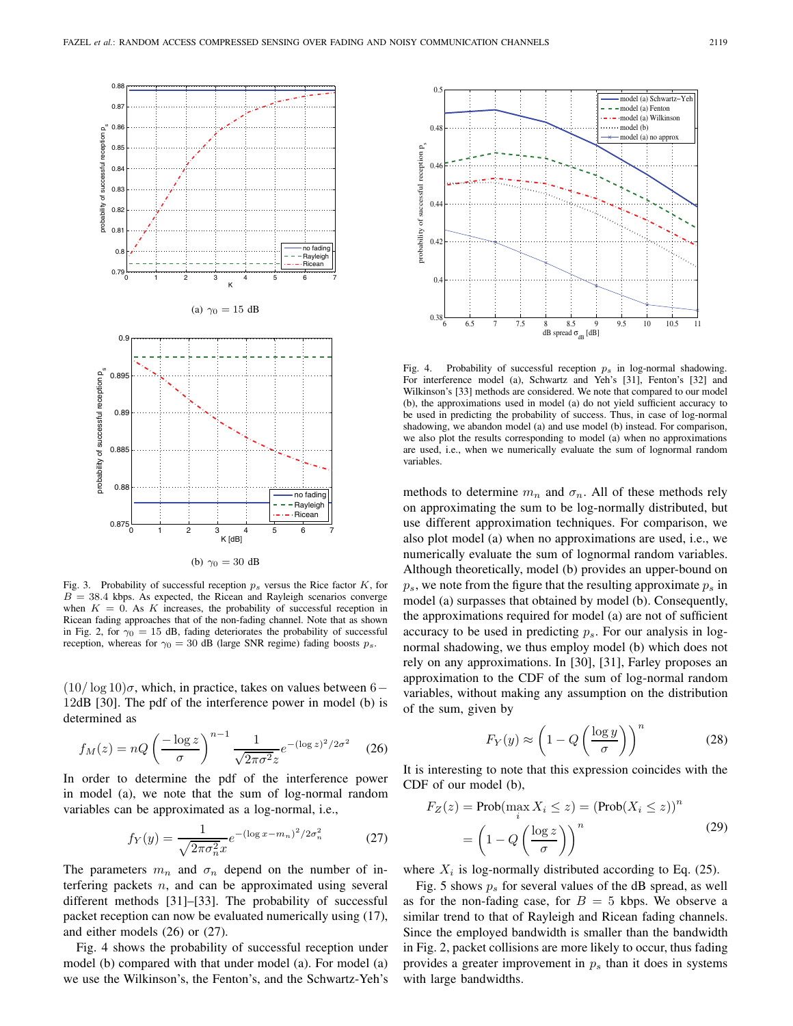

Fig. 3. Probability of successful reception  $p_s$  versus the Rice factor  $K$ , for  $B = 38.4$  kbps. As expected, the Ricean and Rayleigh scenarios converge when  $K = 0$ . As K increases, the probability of successful reception in Ricean fading approaches that of the non-fading channel. Note that as shown in Fig. 2, for  $\gamma_0 = 15$  dB, fading deteriorates the probability of successful reception, whereas for  $\gamma_0 = 30$  dB (large SNR regime) fading boosts  $p_s$ .

 $(10/\log 10)\sigma$ , which, in practice, takes on values between 6 – 12dB [30]. The pdf of the interference power in model (b) is determined as

$$
f_M(z) = nQ \left(\frac{-\log z}{\sigma}\right)^{n-1} \frac{1}{\sqrt{2\pi\sigma^2 z}} e^{-(\log z)^2/2\sigma^2}
$$
 (26)  
In order to determine the pdf of the interference power

in model (a), we note that the sum of log-normal random variables can be approximated as a log-normal, i.e.,

$$
f_Y(y) = \frac{1}{\sqrt{2\pi\sigma_n^2}x}e^{-(\log x - m_n)^2/2\sigma_n^2}
$$
 (27)

The parameters  $m_n$  and  $\sigma_n$  depend on the number of interfering packets  $n$ , and can be approximated using several different methods [31]–[33]. The probability of successful packet reception can now be evaluated numerically using (17), and either models (26) or (27).

Fig. 4 shows the probability of successful reception under model (b) compared with that under model (a). For model (a) we use the Wilkinson's, the Fenton's, and the Schwartz-Yeh's



Fig. 4. Probability of successful reception  $p_s$  in log-normal shadowing. For interference model (a), Schwartz and Yeh's [31], Fenton's [32] and Wilkinson's [33] methods are considered. We note that compared to our model (b), the approximations used in model (a) do not yield sufficient accuracy to be used in predicting the probability of success. Thus, in case of log-normal shadowing, we abandon model (a) and use model (b) instead. For comparison, we also plot the results corresponding to model (a) when no approximations are used, i.e., when we numerically evaluate the sum of lognormal random variables.

methods to determine  $m_n$  and  $\sigma_n$ . All of these methods rely on approximating the sum to be log-normally distributed, but use different approximation techniques. For comparison, we also plot model (a) when no approximations are used, i.e., we numerically evaluate the sum of lognormal random variables. Although theoretically, model (b) provides an upper-bound on  $p_s$ , we note from the figure that the resulting approximate  $p_s$  in model (a) surpasses that obtained by model (b). Consequently, the approximations required for model (a) are not of sufficient accuracy to be used in predicting  $p_s$ . For our analysis in lognormal shadowing, we thus employ model (b) which does not rely on any approximations. In [30], [31], Farley proposes an approximation to the CDF of the sum of log-normal random variables, without making any assumption on the distribution of the sum, given by

$$
F_Y(y) \approx \left(1 - Q\left(\frac{\log y}{\sigma}\right)\right)^n\tag{28}
$$

It is interesting to note that this expression coincides with the CDF of our model (b),

$$
F_Z(z) = \text{Prob}(\max_i X_i \le z) = (\text{Prob}(X_i \le z))^n
$$

$$
= \left(1 - Q\left(\frac{\log z}{\sigma}\right)\right)^n \tag{29}
$$

where  $X_i$  is log-normally distributed according to Eq. (25).

Fig. 5 shows  $p_s$  for several values of the dB spread, as well as for the non-fading case, for  $B = 5$  kbps. We observe a similar trend to that of Rayleigh and Ricean fading channels. Since the employed bandwidth is smaller than the bandwidth in Fig. 2, packet collisions are more likely to occur, thus fading provides a greater improvement in  $p<sub>s</sub>$  than it does in systems with large bandwidths.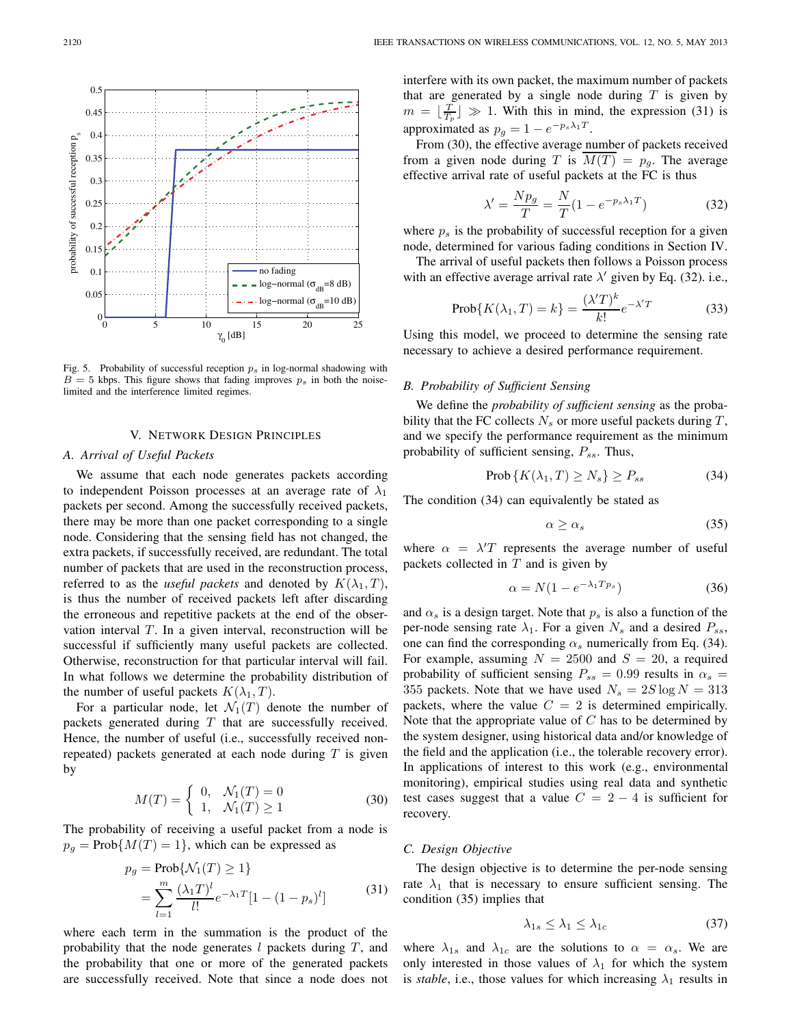

Fig. 5. Probability of successful reception  $p_s$  in log-normal shadowing with  $B = 5$  kbps. This figure shows that fading improves  $p_s$  in both the noiselimited and the interference limited regimes.

# V. NETWORK DESIGN PRINCIPLES

## *A. Arrival of Useful Packets*

We assume that each node generates packets according to independent Poisson processes at an average rate of  $\lambda_1$ packets per second. Among the successfully received packets, there may be more than one packet corresponding to a single node. Considering that the sensing field has not changed, the extra packets, if successfully received, are redundant. The total number of packets that are used in the reconstruction process, referred to as the *useful packets* and denoted by  $K(\lambda_1, T)$ , is thus the number of received packets left after discarding the erroneous and repetitive packets at the end of the observation interval  $T$ . In a given interval, reconstruction will be successful if sufficiently many useful packets are collected. Otherwise, reconstruction for that particular interval will fail. In what follows we determine the probability distribution of the number of useful packets  $K(\lambda_1, T)$ .

For a particular node, let  $\mathcal{N}_1(T)$  denote the number of packets generated during  $T$  that are successfully received. Hence, the number of useful (i.e., successfully received nonrepeated) packets generated at each node during  $T$  is given by

$$
M(T) = \begin{cases} 0, & \mathcal{N}_1(T) = 0 \\ 1, & \mathcal{N}_1(T) \ge 1 \end{cases}
$$
 (30)

The probability of receiving a useful packet from a node is  $p_q = \text{Prob}\{M(T) = 1\}$ , which can be expressed as

$$
p_g = \text{Prob}\{\mathcal{N}_1(T) \ge 1\}
$$
  
= 
$$
\sum_{l=1}^{m} \frac{(\lambda_1 T)^l}{l!} e^{-\lambda_1 T} [1 - (1 - p_s)^l]
$$
 (31)

where each term in the summation is the product of the probability that the node generates  $l$  packets during  $T$ , and the probability that one or more of the generated packets are successfully received. Note that since a node does not interfere with its own packet, the maximum number of packets that are generated by a single node during  $T$  is given by  $m = \lfloor \frac{T}{T_p} \rfloor \gg 1$ . With this in mind, the expression (31) is approximated as  $p_g = 1 - e^{-p_s \lambda_1 T}$ .

From (30), the effective average number of packets received from a given node during T is  $M(T) = p<sub>q</sub>$ . The average effective arrival rate of useful packets at the FC is thus

$$
\lambda' = \frac{Np_g}{T} = \frac{N}{T} (1 - e^{-p_s \lambda_1 T})
$$
\n(32)

where  $p<sub>s</sub>$  is the probability of successful reception for a given node, determined for various fading conditions in Section IV.

The arrival of useful packets then follows a Poisson process with an effective average arrival rate  $\lambda'$  given by Eq. (32). i.e.,

$$
Prob{K(\lambda_1, T) = k} = \frac{(\lambda' T)^k}{k!} e^{-\lambda' T}
$$
 (33)  
Using this model, we proceed to determine the sensing rate

necessary to achieve a desired performance requirement.

## *B. Probability of Sufficient Sensing*

We define the *probability of sufficient sensing* as the probability that the FC collects  $N_s$  or more useful packets during  $T$ , and we specify the performance requirement as the minimum probability of sufficient sensing,  $P_{ss}$ . Thus,

$$
Prob\{K(\lambda_1, T) \ge N_s\} \ge P_{ss}
$$
\n(34)

The condition (34) can equivalently be stated as

$$
\alpha \ge \alpha_s \tag{35}
$$

where  $\alpha = \lambda' T$  represents the average number of useful<br>packets collected in T and is given by packets collected in  $T$  and is given by

$$
\alpha = N(1 - e^{-\lambda_1 T p_s}) \tag{36}
$$

and  $\alpha_s$  is a design target. Note that  $p_s$  is also a function of the per-node sensing rate  $\lambda_1$ . For a given  $N_s$  and a desired  $P_{ss}$ , one can find the corresponding  $\alpha_s$  numerically from Eq. (34). For example, assuming  $N = 2500$  and  $S = 20$ , a required probability of sufficient sensing  $P_{ss} = 0.99$  results in  $\alpha_s =$ 355 packets. Note that we have used  $N_s = 2S \log N = 313$ packets, where the value  $C = 2$  is determined empirically. Note that the appropriate value of  $C$  has to be determined by the system designer, using historical data and/or knowledge of the field and the application (i.e., the tolerable recovery error). In applications of interest to this work (e.g., environmental monitoring), empirical studies using real data and synthetic test cases suggest that a value  $C = 2 - 4$  is sufficient for recovery.

## *C. Design Objective*

The design objective is to determine the per-node sensing rate  $\lambda_1$  that is necessary to ensure sufficient sensing. The condition (35) implies that

$$
\lambda_{1s} \le \lambda_1 \le \lambda_{1c} \tag{37}
$$

where  $\lambda_{1s}$  and  $\lambda_{1c}$  are the solutions to  $\alpha = \alpha_s$ . We are only interested in those values of  $\lambda_1$  for which the system is *stable*, i.e., those values for which increasing  $\lambda_1$  results in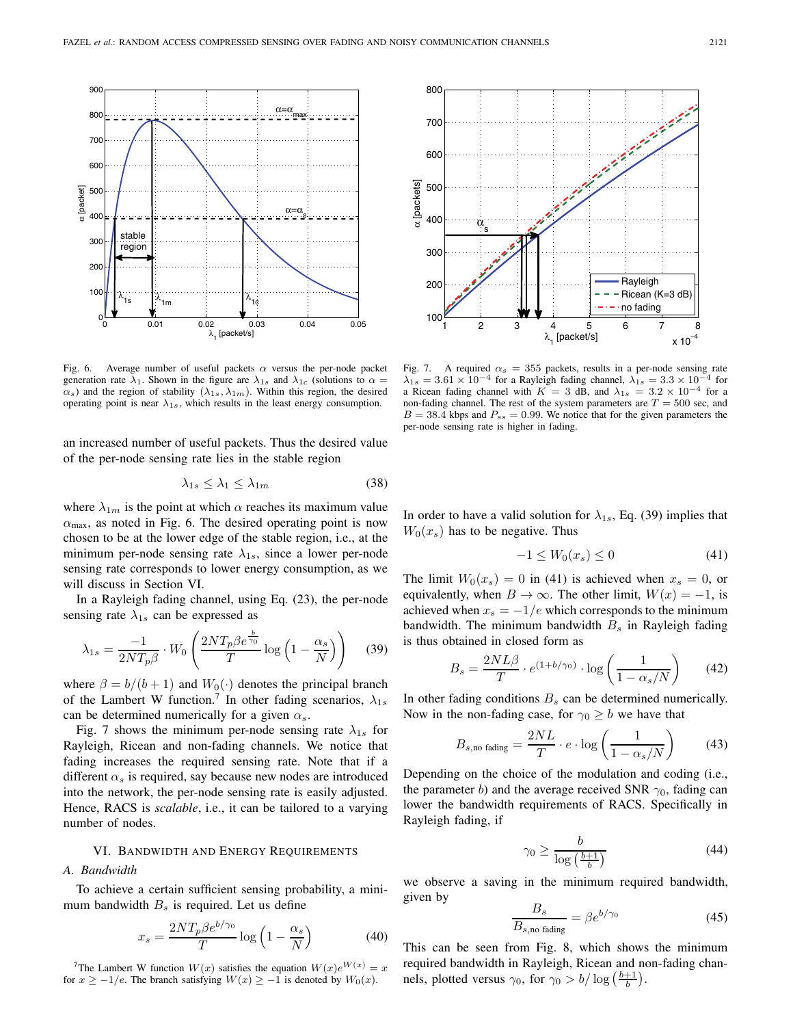

Fig. 6. Average number of useful packets  $\alpha$  versus the per-node packet generation rate  $\lambda_1$ . Shown in the figure are  $\lambda_{1s}$  and  $\lambda_{1c}$  (solutions to  $\alpha =$  $\alpha_s$ ) and the region of stability  $(\lambda_{1s}, \lambda_{1m})$ . Within this region, the desired operating point is near  $\lambda_{1s}$ , which results in the least energy consumption.

an increased number of useful packets. Thus the desired value of the per-node sensing rate lies in the stable region

$$
\lambda_{1s} \le \lambda_1 \le \lambda_{1m} \tag{38}
$$

where  $\lambda_{1m}$  is the point at which  $\alpha$  reaches its maximum value  $\alpha_{\text{max}}$ , as noted in Fig. 6. The desired operating point is now chosen to be at the lower edge of the stable region, i.e., at the minimum per-node sensing rate  $\lambda_{1s}$ , since a lower per-node sensing rate corresponds to lower energy consumption, as we will discuss in Section VI.

In a Rayleigh fading channel, using Eq. (23), the per-node sensing rate  $\lambda_{1s}$  can be expressed as

$$
\lambda_{1s} = \frac{-1}{2NT_p \beta} \cdot W_0 \left( \frac{2NT_p \beta e^{\frac{b}{\gamma_0}}}{T} \log \left( 1 - \frac{\alpha_s}{N} \right) \right) \tag{39}
$$

where  $\beta = b/(b+1)$  and  $W_0(\cdot)$  denotes the principal branch of the Lambert W function.<sup>7</sup> In other fading scenarios,  $\lambda_{1s}$ can be determined numerically for a given  $\alpha_s$ .

Fig. 7 shows the minimum per-node sensing rate  $\lambda_{1s}$  for Rayleigh, Ricean and non-fading channels. We notice that fading increases the required sensing rate. Note that if a different  $\alpha_s$  is required, say because new nodes are introduced into the network, the per-node sensing rate is easily adjusted. Hence, RACS is *scalable*, i.e., it can be tailored to a varying number of nodes.

#### VI. BANDWIDTH AND ENERGY REQUIREMENTS

## *A. Bandwidth*

To achieve a certain sufficient sensing probability, a minimum bandwidth  $B_s$  is required. Let us define

$$
x_s = \frac{2NT_p\beta e^{b/\gamma_0}}{T} \log\left(1 - \frac{\alpha_s}{N}\right) \tag{40}
$$

<sup>7</sup>The Lambert W function  $W(x)$  satisfies the equation  $W(x)e^{W(x)} = x$ for  $x \ge -1/e$ . The branch satisfying  $W(x) \ge -1$  is denoted by  $W_0(x)$ .



Fig. 7. A required  $\alpha_s = 355$  packets, results in a per-node sensing rate  $\lambda_{1s} = 3.61 \times 10^{-4}$  for a Rayleigh fading channel.  $\lambda_{1s} = 3.3 \times 10^{-4}$  for  $\lambda_{1s} = 3.61 \times 10^{-4}$  for a Rayleigh fading channel,  $\lambda_{1s} = 3.3 \times 10^{-4}$ a Ricean fading channel with  $K = 3$  dB, and  $\lambda_{1s} = 3.2 \times 10^{-4}$  for a non-fading channel. The rest of the system parameters are  $T = 500$  sec, and  $B = 38.4$  kbps and  $P_{ss} = 0.99$ . We notice that for the given parameters the per-node sensing rate is higher in fading.

In order to have a valid solution for  $\lambda_{1s}$ , Eq. (39) implies that  $W_0(x_s)$  has to be negative. Thus

$$
-1 \le W_0(x_s) \le 0 \tag{41}
$$

The limit  $W_0(x_s)=0$  in (41) is achieved when  $x_s = 0$ , or equivalently, when  $B \to \infty$ . The other limit,  $W(x) = -1$ , is achieved when  $x_s = -1/e$  which corresponds to the minimum bandwidth. The minimum bandwidth  $B_s$  in Rayleigh fading is thus obtained in closed form as

$$
B_s = \frac{2NL\beta}{T} \cdot e^{(1+b/\gamma_0)} \cdot \log\left(\frac{1}{1-\alpha_s/N}\right) \tag{42}
$$

In other fading conditions  $B_s$  can be determined numerically. Now in the non-fading case, for  $\gamma_0 \geq b$  we have that

$$
B_{s,\text{no fading}} = \frac{2NL}{T} \cdot e \cdot \log\left(\frac{1}{1 - \alpha_s/N}\right) \tag{43}
$$

Depending on the choice of the modulation and coding (i.e., the parameter b) and the average received SNR  $\gamma_0$ , fading can lower the bandwidth requirements of RACS. Specifically in Rayleigh fading, if

$$
\gamma_0 \ge \frac{b}{\log\left(\frac{b+1}{b}\right)}\tag{44}
$$

we observe a saving in the minimum required bandwidth, given by

$$
\frac{B_s}{B_{s,\text{no fading}}} = \beta e^{b/\gamma_0} \tag{45}
$$

This can be seen from Fig. 8, which shows the minimum required bandwidth in Rayleigh, Ricean and non-fading channels, plotted versus  $\gamma_0$ , for  $\gamma_0 > b / \log \left( \frac{b+1}{b} \right)$ .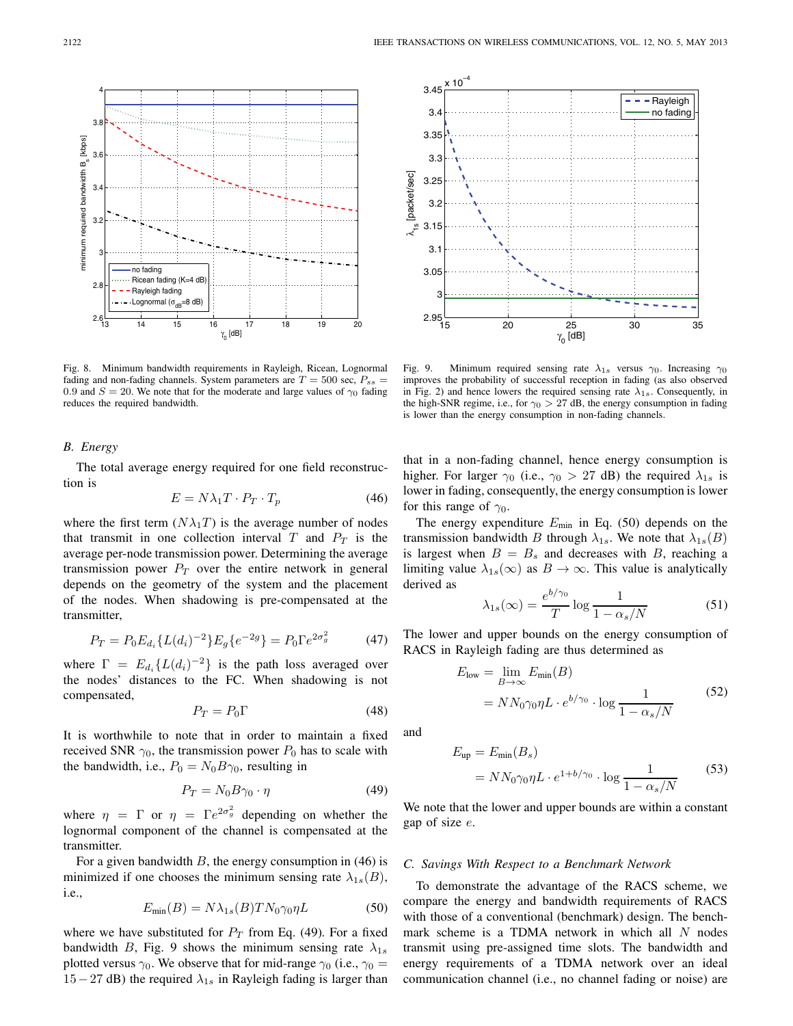

2.6<br>13 14 15 16 17 18 19 20

γ<sub>0</sub> [dB]

## *B. Energy*

2.8

3

no fading Ricean fading (K Rayleigh fading Lognormal ( $\sigma_{\text{dB}}$ =8 dB)

 $3.2$ 

3.4

minimum required bandwidth Bs [kbps]

minimum required bandwidth B<sub>2</sub> [kbps]

3.6

 $3.8$ 

4

The total average energy required for one field reconstruction is

$$
E = N\lambda_1 T \cdot P_T \cdot T_p \tag{46}
$$

where the first term  $(N\lambda_1T)$  is the average number of nodes that transmit in one collection interval T and  $P_T$  is the average per-node transmission power. Determining the average transmission power  $P_T$  over the entire network in general depends on the geometry of the system and the placement of the nodes. When shadowing is pre-compensated at the transmitter,

$$
P_T = P_0 E_{d_i} \{ L(d_i)^{-2} \} E_g \{ e^{-2g} \} = P_0 \Gamma e^{2\sigma_g^2} \tag{47}
$$

where  $\Gamma = E_{d_i} \{ L(d_i)^{-2} \}$  is the path loss averaged over the nodes' distances to the FC. When shadowing is not compensated,

$$
P_T = P_0 \Gamma \tag{48}
$$

It is worthwhile to note that in order to maintain a fixed received SNR  $\gamma_0$ , the transmission power  $P_0$  has to scale with the bandwidth, i.e.,  $P_0 = N_0 B \gamma_0$ , resulting in

$$
P_T = N_0 B \gamma_0 \cdot \eta \tag{49}
$$

where  $\eta = \Gamma$  or  $\eta = \Gamma e^{2\sigma_g^2}$  depending on whether the lognormal component of the channel is compensated at the lognormal component of the channel is compensated at the transmitter.

For a given bandwidth  $B$ , the energy consumption in (46) is minimized if one chooses the minimum sensing rate  $\lambda_{1s}(B)$ , i.e.,

$$
E_{\min}(B) = N\lambda_{1s}(B)TN_0\gamma_0\eta L\tag{50}
$$

where we have substituted for  $P_T$  from Eq. (49). For a fixed bandwidth B, Fig. 9 shows the minimum sensing rate  $\lambda_{1s}$ plotted versus  $\gamma_0$ . We observe that for mid-range  $\gamma_0$  (i.e.,  $\gamma_0 =$ 15−27 dB) the required  $\lambda_{1s}$  in Rayleigh fading is larger than



Fig. 9. Minimum required sensing rate  $\lambda_{1s}$  versus  $\gamma_0$ . Increasing  $\gamma_0$ improves the probability of successful reception in fading (as also observed

that in a non-fading channel, hence energy consumption is higher. For larger  $\gamma_0$  (i.e.,  $\gamma_0 > 27$  dB) the required  $\lambda_{1s}$  is lower in fading, consequently, the energy consumption is lower for this range of  $\gamma_0$ .

The energy expenditure  $E_{\text{min}}$  in Eq. (50) depends on the transmission bandwidth B through  $\lambda_{1s}$ . We note that  $\lambda_{1s}(B)$ is largest when  $B = B_s$  and decreases with B, reaching a limiting value  $\lambda_{1s}(\infty)$  as  $B \to \infty$ . This value is analytically derived as

$$
\lambda_{1s}(\infty) = \frac{e^{b/\gamma_0}}{T} \log \frac{1}{1 - \alpha_s/N} \tag{51}
$$

The lower and upper bounds on the energy consumption of RACS in Rayleigh fading are thus determined as

$$
E_{\text{low}} = \lim_{B \to \infty} E_{\text{min}}(B)
$$
  
=  $N N_0 \gamma_0 \eta L \cdot e^{b/\gamma_0} \cdot \log \frac{1}{1 - \alpha_s/N}$  (52)

and

$$
E_{\text{up}} = E_{\text{min}}(B_s)
$$
  
=  $N N_0 \gamma_0 \eta L \cdot e^{1 + b/\gamma_0} \cdot \log \frac{1}{1 - \alpha_s/N}$  (53)

We note that the lower and upper bounds are within a constant gap of size e.

#### *C. Savings With Respect to a Benchmark Network*

To demonstrate the advantage of the RACS scheme, we compare the energy and bandwidth requirements of RACS with those of a conventional (benchmark) design. The benchmark scheme is a TDMA network in which all  $N$  nodes transmit using pre-assigned time slots. The bandwidth and energy requirements of a TDMA network over an ideal communication channel (i.e., no channel fading or noise) are

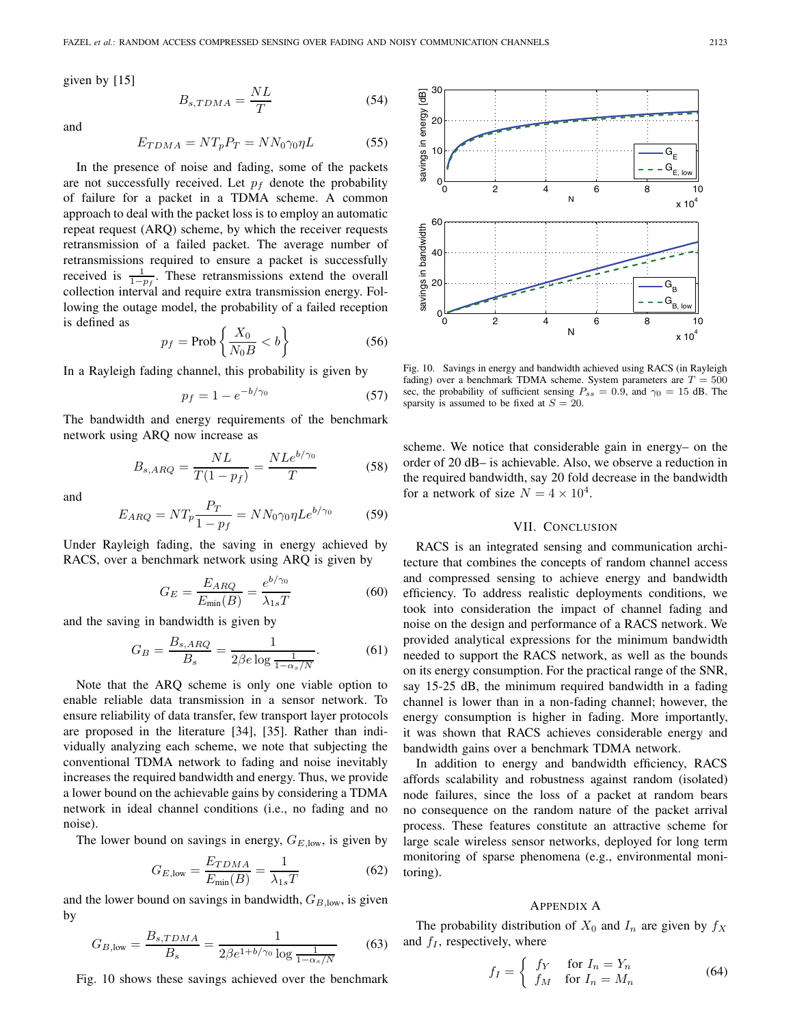given by [15]

$$
B_{s, TDMA} = \frac{NL}{T}
$$
 (54)

and

$$
E_{TDMA} = NT_p P_T = NN_0 \gamma_0 \eta L \tag{55}
$$

In the presence of noise and fading, some of the packets are not successfully received. Let  $p_f$  denote the probability of failure for a packet in a TDMA scheme. A common approach to deal with the packet loss is to employ an automatic repeat request (ARQ) scheme, by which the receiver requests retransmission of a failed packet. The average number of retransmissions required to ensure a packet is successfully received is  $\frac{1}{1-n_i}$ . These retransmissions extend the overall  $1-p_f$ . These reduces the collection interval and require extra transmission energy. Following the outage model, the probability of a failed reception is defined as

$$
p_f = \text{Prob}\left\{\frac{X_0}{N_0 B} < b\right\} \tag{56}
$$

In a Rayleigh fading channel, this probability is given by

$$
p_f = 1 - e^{-b/\gamma_0} \tag{57}
$$

The bandwidth and energy requirements of the benchmark network using ARQ now increase as

$$
B_{s,ARQ} = \frac{NL}{T(1 - p_f)} = \frac{NLe^{b/\gamma_0}}{T}
$$
 (58)

and

$$
E_{ARQ} = NT_p \frac{P_T}{1 - p_f} = NN_0 \gamma_0 \eta L e^{b/\gamma_0} \tag{59}
$$

Under Rayleigh fading, the saving in energy achieved by RACS, over a benchmark network using ARQ is given by

$$
G_E = \frac{E_{ARQ}}{E_{\text{min}}(B)} = \frac{e^{b/\gamma_0}}{\lambda_{1s}T}
$$
(60)

and the saving in bandwidth is given by

$$
G_B = \frac{B_{s,ARQ}}{B_s} = \frac{1}{2\beta e \log \frac{1}{1 - \alpha_s/N}}.\tag{61}
$$

Note that the ARQ scheme is only one viable option to enable reliable data transmission in a sensor network. To ensure reliability of data transfer, few transport layer protocols are proposed in the literature [34], [35]. Rather than individually analyzing each scheme, we note that subjecting the conventional TDMA network to fading and noise inevitably increases the required bandwidth and energy. Thus, we provide a lower bound on the achievable gains by considering a TDMA network in ideal channel conditions (i.e., no fading and no noise).

The lower bound on savings in energy,  $G_{E, \text{low}}$ , is given by

$$
G_{E,\text{low}} = \frac{E_{TDMA}}{E_{\text{min}}(B)} = \frac{1}{\lambda_{1s}T}
$$
(62)

and the lower bound on savings in bandwidth,  $G_{B,low}$ , is given by

$$
G_{B,\text{low}} = \frac{B_{s, TDMA}}{B_s} = \frac{1}{2\beta e^{1 + b/\gamma_0} \log \frac{1}{1 - \alpha_s/N}}
$$
(63)

Fig. 10 shows these savings achieved over the benchmark



Fig. 10. Savings in energy and bandwidth achieved using RACS (in Rayleigh fading) over a benchmark TDMA scheme. System parameters are  $T = 500$ sec, the probability of sufficient sensing  $P_{ss} = 0.9$ , and  $\gamma_0 = 15$  dB. The sparsity is assumed to be fixed at  $S = 20$ .

scheme. We notice that considerable gain in energy– on the order of 20 dB– is achievable. Also, we observe a reduction in the required bandwidth, say 20 fold decrease in the bandwidth for a network of size  $N = 4 \times 10^4$ .

# VII. CONCLUSION

RACS is an integrated sensing and communication architecture that combines the concepts of random channel access and compressed sensing to achieve energy and bandwidth efficiency. To address realistic deployments conditions, we took into consideration the impact of channel fading and noise on the design and performance of a RACS network. We provided analytical expressions for the minimum bandwidth needed to support the RACS network, as well as the bounds on its energy consumption. For the practical range of the SNR, say 15-25 dB, the minimum required bandwidth in a fading channel is lower than in a non-fading channel; however, the energy consumption is higher in fading. More importantly, it was shown that RACS achieves considerable energy and bandwidth gains over a benchmark TDMA network.

In addition to energy and bandwidth efficiency, RACS affords scalability and robustness against random (isolated) node failures, since the loss of a packet at random bears no consequence on the random nature of the packet arrival process. These features constitute an attractive scheme for large scale wireless sensor networks, deployed for long term monitoring of sparse phenomena (e.g., environmental monitoring).

## APPENDIX A

The probability distribution of  $X_0$  and  $I_n$  are given by  $f_X$ and  $f_I$ , respectively, where

$$
f_I = \begin{cases} f_Y & \text{for } I_n = Y_n \\ f_M & \text{for } I_n = M_n \end{cases}
$$
 (64)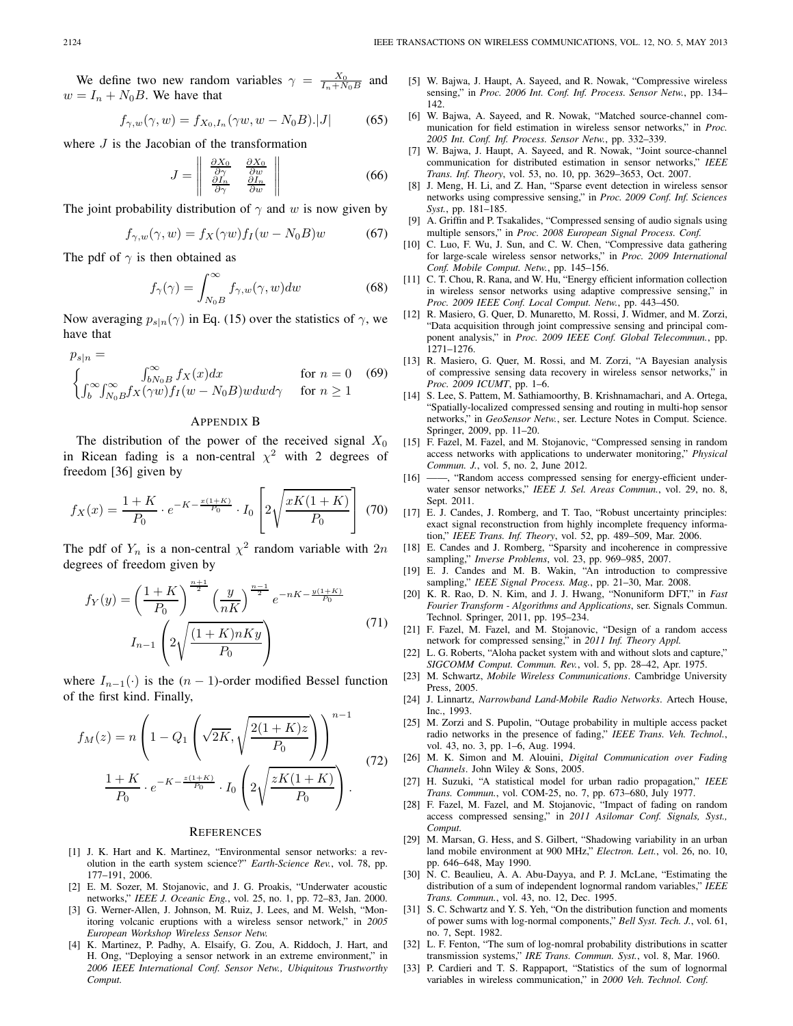We define two new random variables  $\gamma = \frac{X_0}{I_n + N_0 B}$  and  $I_n + N_0 B$  We have that  $w = I_n + N_0B$ . We have that

$$
f_{\gamma,w}(\gamma,w) = f_{X_0,I_n}(\gamma w, w - N_0B).|J| \tag{65}
$$

where  $J$  is the Jacobian of the transformation

$$
J = \begin{vmatrix} \frac{\partial X_0}{\partial \gamma} & \frac{\partial X_0}{\partial w} \\ \frac{\partial I_n}{\partial \gamma} & \frac{\partial I_n}{\partial w} \end{vmatrix}
$$
 (66)

The joint probability distribution of  $\gamma$  and w is now given by

$$
f_{\gamma,w}(\gamma,w) = f_X(\gamma w) f_I(w - N_0 B) w \tag{67}
$$

The pdf of  $\gamma$  is then obtained as

$$
f_{\gamma}(\gamma) = \int_{N_0B}^{\infty} f_{\gamma,w}(\gamma, w) dw
$$
 (68)

Now averaging  $p_{s|n}(\gamma)$  in Eq. (15) over the statistics of  $\gamma$ , we have that

$$
p_{s|n} = \n\begin{cases} \n\int_{bN_0B}^{\infty} f_X(x)dx & \text{for } n = 0 \quad (69) \\
\int_b^{\infty} \int_{N_0B}^{\infty} f_X(\gamma w) f_I(w - N_0B)wdwd\gamma & \text{for } n \ge 1\n\end{cases}
$$

#### APPENDIX B

The distribution of the power of the received signal  $X_0$ in Ricean fading is a non-central  $\chi^2$  with 2 degrees of freedom [36] given by

$$
f_X(x) = \frac{1+K}{P_0} \cdot e^{-K - \frac{x(1+K)}{P_0}} \cdot I_0 \left[ 2\sqrt{\frac{xK(1+K)}{P_0}} \right] \tag{70}
$$

The pdf of  $Y_n$  is a non-central  $\chi^2$  random variable with  $2n$ degrees of freedom given by

$$
f_Y(y) = \left(\frac{1+K}{P_0}\right)^{\frac{n+1}{2}} \left(\frac{y}{nK}\right)^{\frac{n-1}{2}} e^{-nK - \frac{y(1+K)}{P_0}}
$$
  

$$
I_{n-1} \left(2\sqrt{\frac{(1+K)nKy}{P_0}}\right)
$$
 (71)

where  $I_{n-1}(\cdot)$  is the  $(n-1)$ -order modified Bessel function of the first kind. Finally,

$$
f_M(z) = n \left( 1 - Q_1 \left( \sqrt{2K}, \sqrt{\frac{2(1+K)z}{P_0}} \right) \right)^{n-1}
$$
  

$$
\frac{1+K}{P_0} \cdot e^{-K - \frac{z(1+K)}{P_0}} \cdot I_0 \left( 2\sqrt{\frac{zK(1+K)}{P_0}} \right).
$$
 (72)

#### **REFERENCES**

- [1] J. K. Hart and K. Martinez, "Environmental sensor networks: a revolution in the earth system science?" *Earth-Science Rev.*, vol. 78, pp. 177–191, 2006.
- [2] E. M. Sozer, M. Stojanovic, and J. G. Proakis, "Underwater acoustic networks," *IEEE J. Oceanic Eng.*, vol. 25, no. 1, pp. 72–83, Jan. 2000.
- [3] G. Werner-Allen, J. Johnson, M. Ruiz, J. Lees, and M. Welsh, "Monitoring volcanic eruptions with a wireless sensor network," in *2005 European Workshop Wireless Sensor Netw.*
- [4] K. Martinez, P. Padhy, A. Elsaify, G. Zou, A. Riddoch, J. Hart, and H. Ong, "Deploying a sensor network in an extreme environment," in *2006 IEEE International Conf. Sensor Netw., Ubiquitous Trustworthy Comput.*
- [5] W. Bajwa, J. Haupt, A. Sayeed, and R. Nowak, "Compressive wireless sensing," in *Proc. 2006 Int. Conf. Inf. Process. Sensor Netw.*, pp. 134– 142.
- [6] W. Bajwa, A. Sayeed, and R. Nowak, "Matched source-channel communication for field estimation in wireless sensor networks," in *Proc. 2005 Int. Conf. Inf. Process. Sensor Netw.*, pp. 332–339.
- [7] W. Bajwa, J. Haupt, A. Sayeed, and R. Nowak, "Joint source-channel communication for distributed estimation in sensor networks," *IEEE Trans. Inf. Theory*, vol. 53, no. 10, pp. 3629–3653, Oct. 2007.
- [8] J. Meng, H. Li, and Z. Han, "Sparse event detection in wireless sensor networks using compressive sensing," in *Proc. 2009 Conf. Inf. Sciences Syst.*, pp. 181–185.
- [9] A. Griffin and P. Tsakalides, "Compressed sensing of audio signals using multiple sensors," in *Proc. 2008 European Signal Process. Conf.*
- [10] C. Luo, F. Wu, J. Sun, and C. W. Chen, "Compressive data gathering for large-scale wireless sensor networks," in *Proc. 2009 International Conf. Mobile Comput. Netw.*, pp. 145–156.
- [11] C. T. Chou, R. Rana, and W. Hu, "Energy efficient information collection in wireless sensor networks using adaptive compressive sensing," in *Proc. 2009 IEEE Conf. Local Comput. Netw.*, pp. 443–450.
- [12] R. Masiero, G. Quer, D. Munaretto, M. Rossi, J. Widmer, and M. Zorzi, "Data acquisition through joint compressive sensing and principal component analysis," in *Proc. 2009 IEEE Conf. Global Telecommun.*, pp. 1271–1276.
- [13] R. Masiero, G. Quer, M. Rossi, and M. Zorzi, "A Bayesian analysis of compressive sensing data recovery in wireless sensor networks," in *Proc. 2009 ICUMT*, pp. 1–6.
- [14] S. Lee, S. Pattem, M. Sathiamoorthy, B. Krishnamachari, and A. Ortega, "Spatially-localized compressed sensing and routing in multi-hop sensor networks," in *GeoSensor Netw.*, ser. Lecture Notes in Comput. Science. Springer, 2009, pp. 11–20.
- [15] F. Fazel, M. Fazel, and M. Stojanovic, "Compressed sensing in random access networks with applications to underwater monitoring," *Physical Commun. J.*, vol. 5, no. 2, June 2012.
- [16] -, "Random access compressed sensing for energy-efficient underwater sensor networks," *IEEE J. Sel. Areas Commun.*, vol. 29, no. 8, Sept. 2011.
- [17] E. J. Candes, J. Romberg, and T. Tao, "Robust uncertainty principles: exact signal reconstruction from highly incomplete frequency information," *IEEE Trans. Inf. Theory*, vol. 52, pp. 489–509, Mar. 2006.
- [18] E. Candes and J. Romberg, "Sparsity and incoherence in compressive sampling," *Inverse Problems*, vol. 23, pp. 969–985, 2007.
- [19] E. J. Candes and M. B. Wakin, "An introduction to compressive sampling," *IEEE Signal Process. Mag.*, pp. 21–30, Mar. 2008.
- [20] K. R. Rao, D. N. Kim, and J. J. Hwang, "Nonuniform DFT," in *Fast Fourier Transform - Algorithms and Applications*, ser. Signals Commun. Technol. Springer, 2011, pp. 195–234.
- [21] F. Fazel, M. Fazel, and M. Stojanovic, "Design of a random access network for compressed sensing," in *2011 Inf. Theory Appl.*
- [22] L. G. Roberts, "Aloha packet system with and without slots and capture," *SIGCOMM Comput. Commun. Rev.*, vol. 5, pp. 28–42, Apr. 1975.
- [23] M. Schwartz, *Mobile Wireless Communications*. Cambridge University Press, 2005.
- [24] J. Linnartz, *Narrowband Land-Mobile Radio Networks*. Artech House, Inc., 1993.
- [25] M. Zorzi and S. Pupolin, "Outage probability in multiple access packet radio networks in the presence of fading," *IEEE Trans. Veh. Technol.*, vol. 43, no. 3, pp. 1–6, Aug. 1994.
- [26] M. K. Simon and M. Alouini, *Digital Communication over Fading Channels*. John Wiley & Sons, 2005.
- [27] H. Suzuki, "A statistical model for urban radio propagation," *IEEE Trans. Commun.*, vol. COM-25, no. 7, pp. 673–680, July 1977.
- [28] F. Fazel, M. Fazel, and M. Stojanovic, "Impact of fading on random access compressed sensing," in *2011 Asilomar Conf. Signals, Syst., Comput.*
- [29] M. Marsan, G. Hess, and S. Gilbert, "Shadowing variability in an urban land mobile environment at 900 MHz," *Electron. Lett.*, vol. 26, no. 10, pp. 646–648, May 1990.
- [30] N. C. Beaulieu, A. A. Abu-Dayya, and P. J. McLane, "Estimating the distribution of a sum of independent lognormal random variables," *IEEE Trans. Commun.*, vol. 43, no. 12, Dec. 1995.
- [31] S. C. Schwartz and Y. S. Yeh, "On the distribution function and moments of power sums with log-normal components," *Bell Syst. Tech. J.*, vol. 61, no. 7, Sept. 1982.
- [32] L. F. Fenton, "The sum of log-nomral probability distributions in scatter transmission systems," *IRE Trans. Commun. Syst.*, vol. 8, Mar. 1960.
- [33] P. Cardieri and T. S. Rappaport, "Statistics of the sum of lognormal variables in wireless communication," in *2000 Veh. Technol. Conf.*